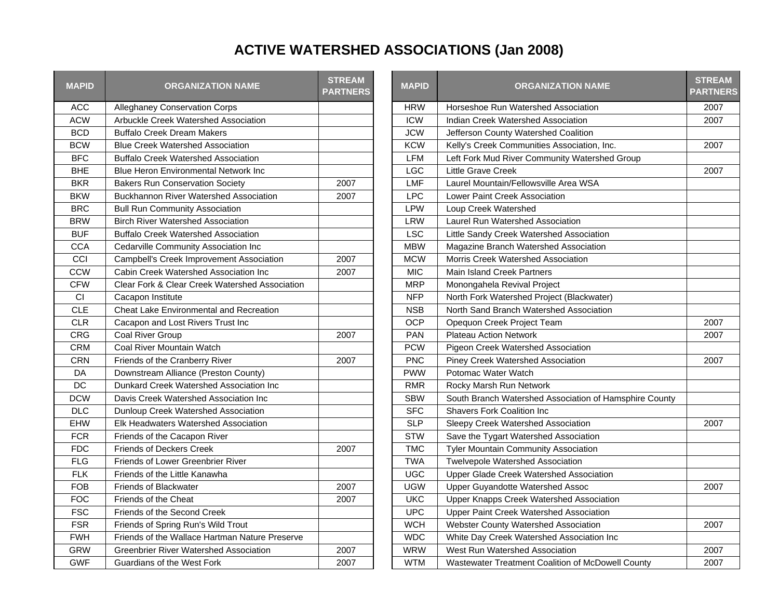## **ACTIVE WATERSHED ASSOCIATIONS (Jan 2008)**

| <b>MAPID</b> | <b>ORGANIZATION NAME</b>                       | <b>STREAM</b><br><b>PARTNERS</b> | <b>MAPID</b> | <b>ORGANIZATION NAME</b>                               |
|--------------|------------------------------------------------|----------------------------------|--------------|--------------------------------------------------------|
| <b>ACC</b>   | <b>Alleghaney Conservation Corps</b>           |                                  | <b>HRW</b>   | Horseshoe Run Watershed Association                    |
| <b>ACW</b>   | Arbuckle Creek Watershed Association           |                                  | ICW          | Indian Creek Watershed Association                     |
| <b>BCD</b>   | <b>Buffalo Creek Dream Makers</b>              |                                  | <b>JCW</b>   | Jefferson County Watershed Coalition                   |
| <b>BCW</b>   | <b>Blue Creek Watershed Association</b>        |                                  | <b>KCW</b>   | Kelly's Creek Communities Association, Inc.            |
| <b>BFC</b>   | <b>Buffalo Creek Watershed Association</b>     |                                  | <b>LFM</b>   | Left Fork Mud River Community Watershed Group          |
| <b>BHE</b>   | <b>Blue Heron Environmental Network Inc.</b>   |                                  | <b>LGC</b>   | <b>Little Grave Creek</b>                              |
| <b>BKR</b>   | <b>Bakers Run Conservation Society</b>         | 2007                             | <b>LMF</b>   | Laurel Mountain/Fellowsville Area WSA                  |
| <b>BKW</b>   | <b>Buckhannon River Watershed Association</b>  | 2007                             | <b>LPC</b>   | <b>Lower Paint Creek Association</b>                   |
| <b>BRC</b>   | <b>Bull Run Community Association</b>          |                                  | <b>LPW</b>   | Loup Creek Watershed                                   |
| <b>BRW</b>   | <b>Birch River Watershed Association</b>       |                                  | <b>LRW</b>   | Laurel Run Watershed Association                       |
| <b>BUF</b>   | <b>Buffalo Creek Watershed Association</b>     |                                  | <b>LSC</b>   | Little Sandy Creek Watershed Association               |
| <b>CCA</b>   | Cedarville Community Association Inc           |                                  | <b>MBW</b>   | Magazine Branch Watershed Association                  |
| CCI          | Campbell's Creek Improvement Association       | 2007                             | <b>MCW</b>   | Morris Creek Watershed Association                     |
| <b>CCW</b>   | Cabin Creek Watershed Association Inc          | 2007                             | <b>MIC</b>   | <b>Main Island Creek Partners</b>                      |
| <b>CFW</b>   | Clear Fork & Clear Creek Watershed Association |                                  | <b>MRP</b>   | Monongahela Revival Project                            |
| CI           | Cacapon Institute                              |                                  | <b>NFP</b>   | North Fork Watershed Project (Blackwater)              |
| <b>CLE</b>   | <b>Cheat Lake Environmental and Recreation</b> |                                  | <b>NSB</b>   | North Sand Branch Watershed Association                |
| <b>CLR</b>   | Cacapon and Lost Rivers Trust Inc              |                                  | <b>OCP</b>   | Opequon Creek Project Team                             |
| <b>CRG</b>   | Coal River Group                               | 2007                             | <b>PAN</b>   | <b>Plateau Action Network</b>                          |
| <b>CRM</b>   | Coal River Mountain Watch                      |                                  | <b>PCW</b>   | Pigeon Creek Watershed Association                     |
| <b>CRN</b>   | Friends of the Cranberry River                 | 2007                             | <b>PNC</b>   | <b>Piney Creek Watershed Association</b>               |
| DA           | Downstream Alliance (Preston County)           |                                  | <b>PWW</b>   | Potomac Water Watch                                    |
| DC           | Dunkard Creek Watershed Association Inc        |                                  | <b>RMR</b>   | Rocky Marsh Run Network                                |
| <b>DCW</b>   | Davis Creek Watershed Association Inc          |                                  | <b>SBW</b>   | South Branch Watershed Association of Hamsphire County |
| <b>DLC</b>   | Dunloup Creek Watershed Association            |                                  | <b>SFC</b>   | <b>Shavers Fork Coalition Inc.</b>                     |
| EHW          | <b>Elk Headwaters Watershed Association</b>    |                                  | <b>SLP</b>   | Sleepy Creek Watershed Association                     |
| <b>FCR</b>   | Friends of the Cacapon River                   |                                  | <b>STW</b>   | Save the Tygart Watershed Association                  |
| <b>FDC</b>   | <b>Friends of Deckers Creek</b>                | 2007                             | <b>TMC</b>   | <b>Tyler Mountain Community Association</b>            |
| <b>FLG</b>   | Friends of Lower Greenbrier River              |                                  | <b>TWA</b>   | Twelvepole Watershed Association                       |
| <b>FLK</b>   | Friends of the Little Kanawha                  |                                  | <b>UGC</b>   | Upper Glade Creek Watershed Association                |
| <b>FOB</b>   | Friends of Blackwater                          | 2007                             | <b>UGW</b>   | Upper Guyandotte Watershed Assoc                       |
| <b>FOC</b>   | Friends of the Cheat                           | 2007                             | <b>UKC</b>   | Upper Knapps Creek Watershed Association               |
| <b>FSC</b>   | Friends of the Second Creek                    |                                  | <b>UPC</b>   | Upper Paint Creek Watershed Association                |
| <b>FSR</b>   | Friends of Spring Run's Wild Trout             |                                  | <b>WCH</b>   | Webster County Watershed Association                   |
| <b>FWH</b>   | Friends of the Wallace Hartman Nature Preserve |                                  | <b>WDC</b>   | White Day Creek Watershed Association Inc              |
| <b>GRW</b>   | Greenbrier River Watershed Association         | 2007                             | <b>WRW</b>   | West Run Watershed Association                         |
| <b>GWF</b>   | Guardians of the West Fork                     | 2007                             | <b>WTM</b>   | Wastewater Treatment Coalition of McDowell County      |

| <b>APID</b> | <b>ORGANIZATION NAME</b>                        | <b>STREAM</b><br><b>PARTNERS</b> | <b>MAPID</b> | <b>ORGANIZATION NAME</b>                               | <b>STREAM</b><br><b>PARTNERS</b> |
|-------------|-------------------------------------------------|----------------------------------|--------------|--------------------------------------------------------|----------------------------------|
| <b>ACC</b>  | <b>Alleghaney Conservation Corps</b>            |                                  | <b>HRW</b>   | Horseshoe Run Watershed Association                    | 2007                             |
| <b>ACW</b>  | Arbuckle Creek Watershed Association            |                                  | <b>ICW</b>   | Indian Creek Watershed Association                     | 2007                             |
| <b>BCD</b>  | <b>Buffalo Creek Dream Makers</b>               |                                  | <b>JCW</b>   | Jefferson County Watershed Coalition                   |                                  |
| <b>BCW</b>  | <b>Blue Creek Watershed Association</b>         |                                  | <b>KCW</b>   | Kelly's Creek Communities Association, Inc.            | 2007                             |
| <b>BFC</b>  | <b>Buffalo Creek Watershed Association</b>      |                                  | <b>LFM</b>   | Left Fork Mud River Community Watershed Group          |                                  |
| <b>BHE</b>  | <b>Blue Heron Environmental Network Inc</b>     |                                  | <b>LGC</b>   | Little Grave Creek                                     | 2007                             |
| <b>BKR</b>  | <b>Bakers Run Conservation Society</b>          | 2007                             | <b>LMF</b>   | Laurel Mountain/Fellowsville Area WSA                  |                                  |
| <b>BKW</b>  | <b>Buckhannon River Watershed Association</b>   | 2007                             | <b>LPC</b>   | Lower Paint Creek Association                          |                                  |
| <b>BRC</b>  | <b>Bull Run Community Association</b>           |                                  | <b>LPW</b>   | Loup Creek Watershed                                   |                                  |
| <b>BRW</b>  | <b>Birch River Watershed Association</b>        |                                  | <b>LRW</b>   | Laurel Run Watershed Association                       |                                  |
| <b>BUF</b>  | <b>Buffalo Creek Watershed Association</b>      |                                  | <b>LSC</b>   | Little Sandy Creek Watershed Association               |                                  |
| <b>CCA</b>  | Cedarville Community Association Inc            |                                  | <b>MBW</b>   | Magazine Branch Watershed Association                  |                                  |
| CCI         | <b>Campbell's Creek Improvement Association</b> | 2007                             | <b>MCW</b>   | <b>Morris Creek Watershed Association</b>              |                                  |
| CCW         | Cabin Creek Watershed Association Inc           | 2007                             | <b>MIC</b>   | <b>Main Island Creek Partners</b>                      |                                  |
| <b>CFW</b>  | Clear Fork & Clear Creek Watershed Association  |                                  | <b>MRP</b>   | Monongahela Revival Project                            |                                  |
| CI          | Cacapon Institute                               |                                  | <b>NFP</b>   | North Fork Watershed Project (Blackwater)              |                                  |
| <b>CLE</b>  | <b>Cheat Lake Environmental and Recreation</b>  |                                  | <b>NSB</b>   | North Sand Branch Watershed Association                |                                  |
| <b>CLR</b>  | Cacapon and Lost Rivers Trust Inc               |                                  | <b>OCP</b>   | Opequon Creek Project Team                             | 2007                             |
| <b>CRG</b>  | Coal River Group                                | 2007                             | PAN          | <b>Plateau Action Network</b>                          | 2007                             |
| <b>CRM</b>  | Coal River Mountain Watch                       |                                  | <b>PCW</b>   | Pigeon Creek Watershed Association                     |                                  |
| <b>CRN</b>  | Friends of the Cranberry River                  | 2007                             | <b>PNC</b>   | Piney Creek Watershed Association                      | 2007                             |
| DA          | Downstream Alliance (Preston County)            |                                  | <b>PWW</b>   | Potomac Water Watch                                    |                                  |
| DC          | Dunkard Creek Watershed Association Inc         |                                  | <b>RMR</b>   | Rocky Marsh Run Network                                |                                  |
| DCW         | Davis Creek Watershed Association Inc           |                                  | <b>SBW</b>   | South Branch Watershed Association of Hamsphire County |                                  |
| <b>DLC</b>  | Dunloup Creek Watershed Association             |                                  | <b>SFC</b>   | <b>Shavers Fork Coalition Inc.</b>                     |                                  |
| <b>EHW</b>  | <b>Elk Headwaters Watershed Association</b>     |                                  | <b>SLP</b>   | Sleepy Creek Watershed Association                     | 2007                             |
| <b>FCR</b>  | Friends of the Cacapon River                    |                                  | <b>STW</b>   | Save the Tygart Watershed Association                  |                                  |
| <b>FDC</b>  | <b>Friends of Deckers Creek</b>                 | 2007                             | <b>TMC</b>   | <b>Tyler Mountain Community Association</b>            |                                  |
| <b>FLG</b>  | Friends of Lower Greenbrier River               |                                  | <b>TWA</b>   | <b>Twelvepole Watershed Association</b>                |                                  |
| <b>FLK</b>  | Friends of the Little Kanawha                   |                                  | <b>UGC</b>   | Upper Glade Creek Watershed Association                |                                  |
| <b>FOB</b>  | <b>Friends of Blackwater</b>                    | 2007                             | <b>UGW</b>   | Upper Guyandotte Watershed Assoc                       | 2007                             |
| <b>FOC</b>  | Friends of the Cheat                            | 2007                             | <b>UKC</b>   | Upper Knapps Creek Watershed Association               |                                  |
| <b>FSC</b>  | <b>Friends of the Second Creek</b>              |                                  | <b>UPC</b>   | Upper Paint Creek Watershed Association                |                                  |
| <b>FSR</b>  | Friends of Spring Run's Wild Trout              |                                  | <b>WCH</b>   | Webster County Watershed Association                   | 2007                             |
| <b>FWH</b>  | Friends of the Wallace Hartman Nature Preserve  |                                  | <b>WDC</b>   | White Day Creek Watershed Association Inc              |                                  |
| GRW         | <b>Greenbrier River Watershed Association</b>   | 2007                             | <b>WRW</b>   | West Run Watershed Association                         | 2007                             |
| <b>GWF</b>  | <b>Guardians of the West Fork</b>               | 2007                             | <b>WTM</b>   | Wastewater Treatment Coalition of McDowell County      | 2007                             |